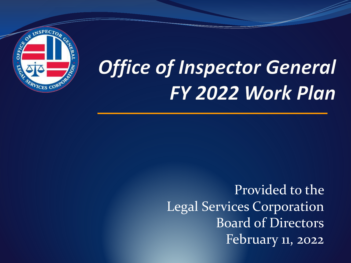

# **Office of Inspector General** FY 2022 Work Plan

Provided to the Legal Services Corporation Board of Directors February 11, 2022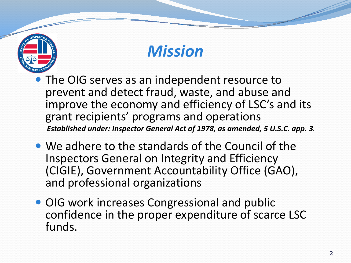

### *Mission*

- The OIG serves as an independent resource to prevent and detect fraud, waste, and abuse and improve the economy and efficiency of LSC's and its grant recipients' programs and operations *Established under: Inspector General Act of 1978, as amended, 5 U.S.C. app. 3.*
- We adhere to the standards of the Council of the Inspectors General on Integrity and Efficiency (CIGIE), Government Accountability Office (GAO), and professional organizations
- OIG work increases Congressional and public confidence in the proper expenditure of scarce LSC funds.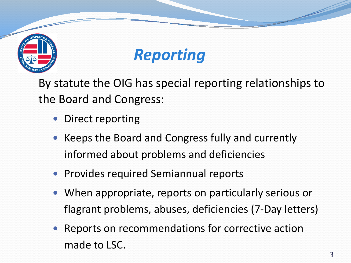



By statute the OIG has special reporting relationships to the Board and Congress:

- Direct reporting
- Keeps the Board and Congress fully and currently informed about problems and deficiencies
- **Provides required Semiannual reports**
- When appropriate, reports on particularly serious or flagrant problems, abuses, deficiencies (7-Day letters)
- Reports on recommendations for corrective action made to LSC.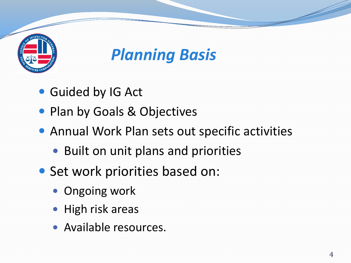

*Planning Basis*

- Guided by IG Act
- Plan by Goals & Objectives
- Annual Work Plan sets out specific activities
	- Built on unit plans and priorities
- Set work priorities based on:
	- Ongoing work
	- High risk areas
	- Available resources.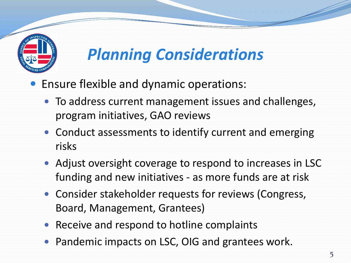

# *Planning Considerations*

- Ensure flexible and dynamic operations:
	- To address current management issues and challenges, program initiatives, GAO reviews
	- Conduct assessments to identify current and emerging risks
	- Adjust oversight coverage to respond to increases in LSC funding and new initiatives - as more funds are at risk
	- Consider stakeholder requests for reviews (Congress, Board, Management, Grantees)
	- Receive and respond to hotline complaints
	- Pandemic impacts on LSC, OIG and grantees work.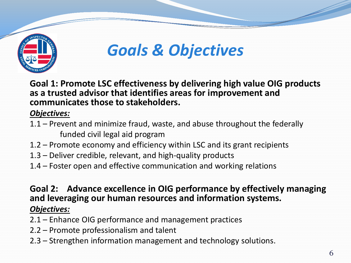

### *Goals & Objectives*

**Goal 1: Promote LSC effectiveness by delivering high value OIG products as a trusted advisor that identifies areas for improvement and communicates those to stakeholders.**

#### *Objectives:*

- 1.1 Prevent and minimize fraud, waste, and abuse throughout the federally funded civil legal aid program
- 1.2 Promote economy and efficiency within LSC and its grant recipients
- 1.3 Deliver credible, relevant, and high-quality products
- 1.4 Foster open and effective communication and working relations

#### **Goal 2: Advance excellence in OIG performance by effectively managing and leveraging our human resources and information systems.** *Objectives:*

- 2.1 Enhance OIG performance and management practices
- 2.2 Promote professionalism and talent
- 2.3 Strengthen information management and technology solutions.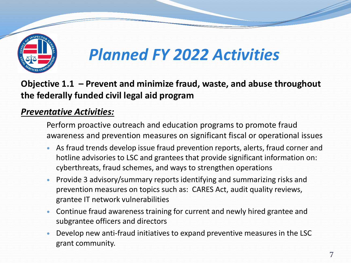

**Objective 1.1 – Prevent and minimize fraud, waste, and abuse throughout the federally funded civil legal aid program**

#### *Preventative Activities:*

Perform proactive outreach and education programs to promote fraud awareness and prevention measures on significant fiscal or operational issues

- As fraud trends develop issue fraud prevention reports, alerts, fraud corner and hotline advisories to LSC and grantees that provide significant information on: cyberthreats, fraud schemes, and ways to strengthen operations
- Provide 3 advisory/summary reports identifying and summarizing risks and prevention measures on topics such as: CARES Act, audit quality reviews, grantee IT network vulnerabilities
- Continue fraud awareness training for current and newly hired grantee and subgrantee officers and directors
- Develop new anti-fraud initiatives to expand preventive measures in the LSC grant community.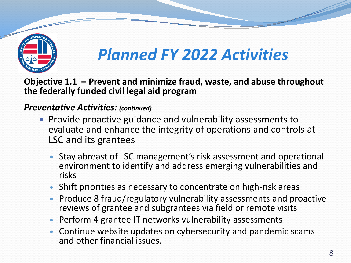

**Objective 1.1 – Prevent and minimize fraud, waste, and abuse throughout the federally funded civil legal aid program** 

#### *Preventative Activities: (continued)*

- Provide proactive guidance and vulnerability assessments to evaluate and enhance the integrity of operations and controls at LSC and its grantees
	- Stay abreast of LSC management's risk assessment and operational environment to identify and address emerging vulnerabilities and risks
	- Shift priorities as necessary to concentrate on high-risk areas
	- Produce 8 fraud/regulatory vulnerability assessments and proactive reviews of grantee and subgrantees via field or remote visits
	- Perform 4 grantee IT networks vulnerability assessments
	- Continue website updates on cybersecurity and pandemic scams and other financial issues.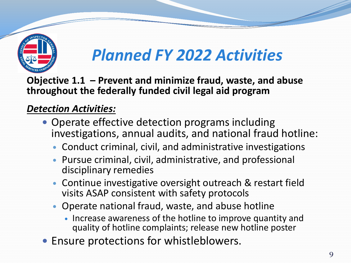

**Objective 1.1 – Prevent and minimize fraud, waste, and abuse throughout the federally funded civil legal aid program** 

### *Detection Activities:*

- Operate effective detection programs including investigations, annual audits, and national fraud hotline:
	- Conduct criminal, civil, and administrative investigations
	- Pursue criminal, civil, administrative, and professional disciplinary remedies
	- Continue investigative oversight outreach & restart field visits ASAP consistent with safety protocols
	- Operate national fraud, waste, and abuse hotline
		- Increase awareness of the hotline to improve quantity and quality of hotline complaints; release new hotline poster
- Ensure protections for whistleblowers.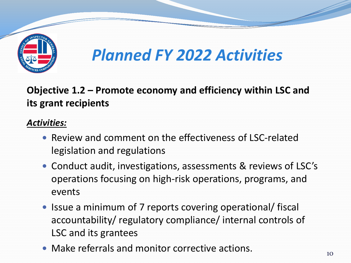

**Objective 1.2 – Promote economy and efficiency within LSC and its grant recipients**

- Review and comment on the effectiveness of LSC-related legislation and regulations
- Conduct audit, investigations, assessments & reviews of LSC's operations focusing on high-risk operations, programs, and events
- Issue a minimum of 7 reports covering operational/ fiscal accountability/ regulatory compliance/ internal controls of LSC and its grantees
- Make referrals and monitor corrective actions.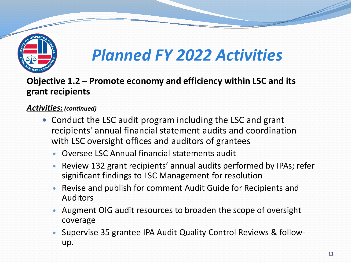

**Objective 1.2 – Promote economy and efficiency within LSC and its grant recipients** 

#### *Activities: (continued)*

- Conduct the LSC audit program including the LSC and grant recipients' annual financial statement audits and coordination with LSC oversight offices and auditors of grantees
	- Oversee LSC Annual financial statements audit
	- Review 132 grant recipients' annual audits performed by IPAs; refer significant findings to LSC Management for resolution
	- Revise and publish for comment Audit Guide for Recipients and Auditors
	- Augment OIG audit resources to broaden the scope of oversight coverage
	- Supervise 35 grantee IPA Audit Quality Control Reviews & followup.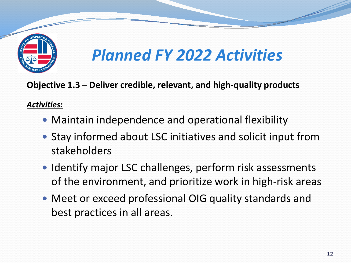

**Objective 1.3 – Deliver credible, relevant, and high-quality products**

- Maintain independence and operational flexibility
- Stay informed about LSC initiatives and solicit input from stakeholders
- Identify major LSC challenges, perform risk assessments of the environment, and prioritize work in high-risk areas
- Meet or exceed professional OIG quality standards and best practices in all areas.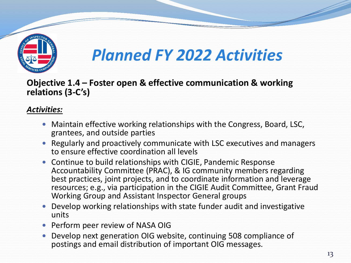

**Objective 1.4 – Foster open & effective communication & working relations (3-C's)**

- Maintain effective working relationships with the Congress, Board, LSC, grantees, and outside parties
- Regularly and proactively communicate with LSC executives and managers to ensure effective coordination all levels
- Continue to build relationships with CIGIE, Pandemic Response Accountability Committee (PRAC), & IG community members regarding best practices, joint projects, and to coordinate information and leverage resources; e.g., via participation in the CIGIE Audit Committee, Grant Fraud Working Group and Assistant Inspector General groups
- Develop working relationships with state funder audit and investigative units
- Perform peer review of NASA OIG
- Develop next generation OIG website, continuing 508 compliance of postings and email distribution of important OIG messages.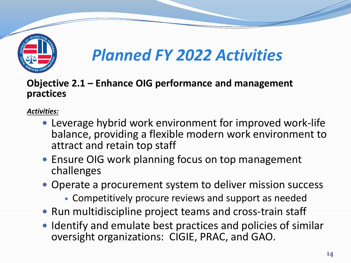

#### **Objective 2.1 – Enhance OIG performance and management practices**

- Leverage hybrid work environment for improved work-life balance, providing a flexible modern work environment to attract and retain top staff
- Ensure OIG work planning focus on top management challenges
- Operate a procurement system to deliver mission success
	- Competitively procure reviews and support as needed
- Run multidiscipline project teams and cross-train staff
- Identify and emulate best practices and policies of similar oversight organizations: CIGIE, PRAC, and GAO.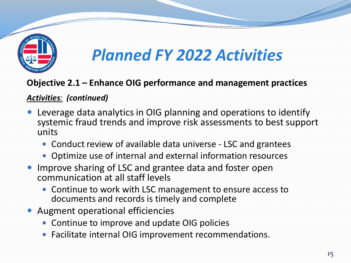

#### **Objective 2.1 – Enhance OIG performance and management practices**

#### *Activities: (continued)*

- Leverage data analytics in OIG planning and operations to identify systemic fraud trends and improve risk assessments to best support units
	- Conduct review of available data universe LSC and grantees
	- Optimize use of internal and external information resources
- Improve sharing of LSC and grantee data and foster open communication at all staff levels
	- Continue to work with LSC management to ensure access to documents and records is timely and complete
- Augment operational efficiencies
	- Continue to improve and update OIG policies
	- Facilitate internal OIG improvement recommendations.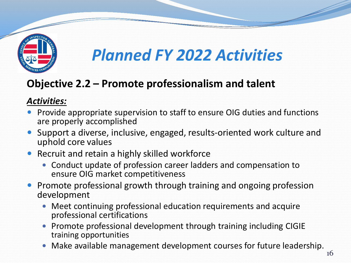

### **Objective 2.2 – Promote professionalism and talent**

- Provide appropriate supervision to staff to ensure OIG duties and functions are properly accomplished
- Support a diverse, inclusive, engaged, results-oriented work culture and uphold core values
- Recruit and retain a highly skilled workforce
	- Conduct update of profession career ladders and compensation to ensure OIG market competitiveness
- Promote professional growth through training and ongoing profession development
	- Meet continuing professional education requirements and acquire professional certifications
	- Promote professional development through training including CIGIE training opportunities
	- Make available management development courses for future leadership.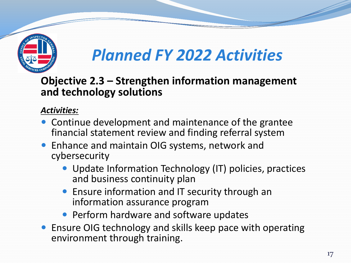

**Objective 2.3 – Strengthen information management and technology solutions**

- Continue development and maintenance of the grantee financial statement review and finding referral system
- Enhance and maintain OIG systems, network and cybersecurity
	- Update Information Technology (IT) policies, practices and business continuity plan
	- Ensure information and IT security through an information assurance program
	- Perform hardware and software updates
- Ensure OIG technology and skills keep pace with operating environment through training.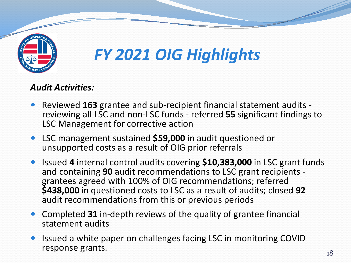

# *FY 2021 OIG Highlights*

#### *Audit Activities:*

- Reviewed **<sup>163</sup>** grantee and sub-recipient financial statement audits reviewing all LSC and non-LSC funds referred **<sup>55</sup>** significant findings to LSC Management for corrective action
- LSC management sustained **\$59,000** in audit questioned or unsupported costs as a result of OIG prior referrals
- Issued **4** internal control audits covering **\$10,383,000** in LSC grant funds grantees agreed with 100% of OIG recommendations; referred **\$438,000** in questioned costs to LSC as a result of audits; closed **92** audit recommendations from this or previous periods
- Completed **31** in-depth reviews of the quality of grantee financial statement audits
- Issued a white paper on challenges facing LSC in monitoring COVID response grants.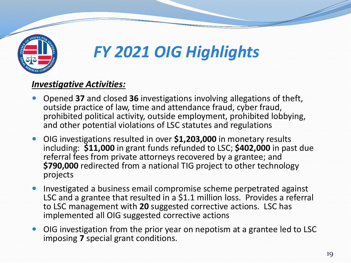

# *FY 2021 OIG Highlights*

#### *Investigative Activities:*

- Opened **37** and closed **36** investigations involving allegations of theft, outside practice of law, time and attendance fraud, cyber fraud, prohibited political activity, outside employment, prohibited lobbying, and other potential violations of LSC statutes and regulations
- OIG investigations resulted in over **\$1,203,000** in monetary results including: **\$11,000** in grant funds refunded to LSC; **\$402,000** in past due referral fees from private attorneys recovered by a grantee; and **\$790,000** redirected from a national TIG project to other technology projects
- Investigated a business email compromise scheme perpetrated against LSC and a grantee that resulted in a \$1.1 million loss. Provides a referral to LSC management with **20** suggested corrective actions. LSC has implemented all OIG suggested corrective actions
- OIG investigation from the prior year on nepotism at a grantee led to LSC imposing **7** special grant conditions.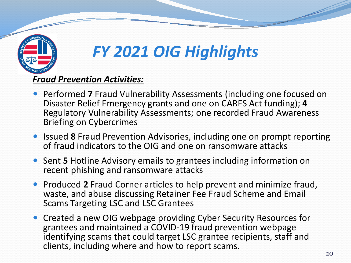

# *FY 2021 OIG Highlights*

#### *Fraud Prevention Activities:*

- Performed **7** Fraud Vulnerability Assessments (including one focused on Disaster Relief Emergency grants and one on CARES Act funding); **4** Regulatory Vulnerability Assessments; one recorded Fraud Awareness Briefing on Cybercrimes
- **Issued 8 Fraud Prevention Advisories, including one on prompt reporting** of fraud indicators to the OIG and one on ransomware attacks
- Sent **5** Hotline Advisory emails to grantees including information on recent phishing and ransomware attacks
- **Produced 2 Fraud Corner articles to help prevent and minimize fraud,** waste, and abuse discussing Retainer Fee Fraud Scheme and Email Scams Targeting LSC and LSC Grantees
- Created a new OIG webpage providing Cyber Security Resources for grantees and maintained a COVID-19 fraud prevention webpage identifying scams that could target LSC grantee recipients, staff and clients, including where and how to report scams.